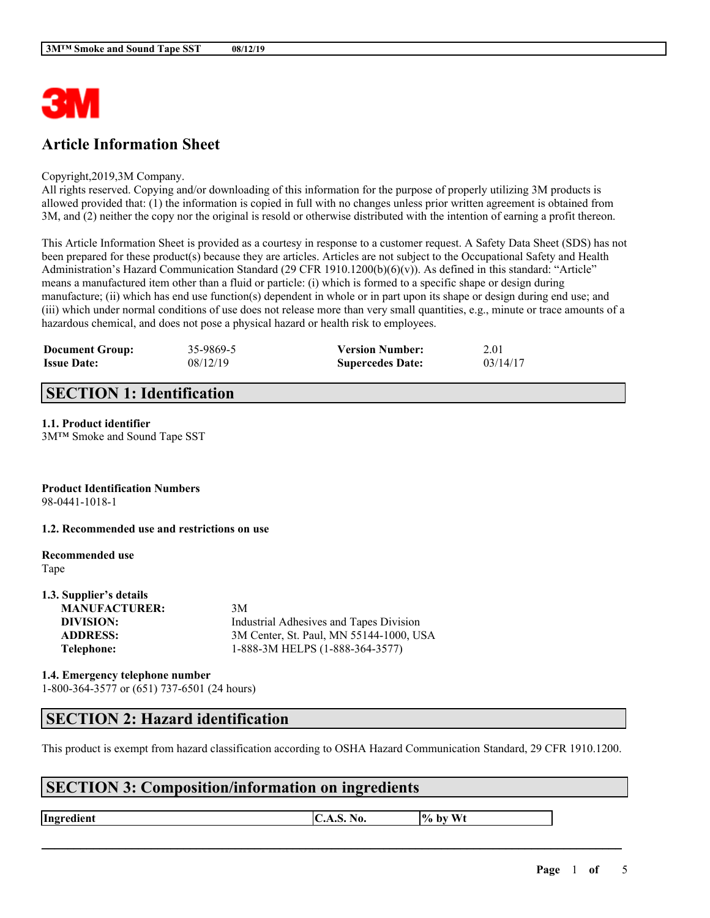

# **Article Information Sheet**

#### Copyright,2019,3M Company.

All rights reserved. Copying and/or downloading of this information for the purpose of properly utilizing 3M products is allowed provided that: (1) the information is copied in full with no changes unless prior written agreement is obtained from 3M, and (2) neither the copy nor the original is resold or otherwise distributed with the intention of earning a profit thereon.

This Article Information Sheet is provided as a courtesy in response to a customer request. A Safety Data Sheet (SDS) has not been prepared for these product(s) because they are articles. Articles are not subject to the Occupational Safety and Health Administration's Hazard Communication Standard (29 CFR 1910.1200(b)(6)(v)). As defined in this standard: "Article" means a manufactured item other than a fluid or particle: (i) which is formed to a specific shape or design during manufacture; (ii) which has end use function(s) dependent in whole or in part upon its shape or design during end use; and (iii) which under normal conditions of use does not release more than very small quantities, e.g., minute or trace amounts of a hazardous chemical, and does not pose a physical hazard or health risk to employees.

| <b>Document Group:</b> | 35-9869-5 | <b>Version Number:</b>  | 2.01     |
|------------------------|-----------|-------------------------|----------|
| <b>Issue Date:</b>     | 08/12/19  | <b>Supercedes Date:</b> | 03/14/17 |

### **SECTION 1: Identification**

#### **1.1. Product identifier**

3M™ Smoke and Sound Tape SST

# **Product Identification Numbers**

98-0441-1018-1

#### **1.2. Recommended use and restrictions on use**

# **Recommended use**

Tape

#### **1.3. Supplier's details MANUFACTURER:** 3M **DIVISION:** Industrial Adhesives and Tapes Division **ADDRESS:** 3M Center, St. Paul, MN 55144-1000, USA **Telephone:** 1-888-3M HELPS (1-888-364-3577)

**1.4. Emergency telephone number** 1-800-364-3577 or (651) 737-6501 (24 hours)

### **SECTION 2: Hazard identification**

This product is exempt from hazard classification according to OSHA Hazard Communication Standard, 29 CFR 1910.1200.

 $\mathcal{L}_\mathcal{L} = \mathcal{L}_\mathcal{L} = \mathcal{L}_\mathcal{L} = \mathcal{L}_\mathcal{L} = \mathcal{L}_\mathcal{L} = \mathcal{L}_\mathcal{L} = \mathcal{L}_\mathcal{L} = \mathcal{L}_\mathcal{L} = \mathcal{L}_\mathcal{L} = \mathcal{L}_\mathcal{L} = \mathcal{L}_\mathcal{L} = \mathcal{L}_\mathcal{L} = \mathcal{L}_\mathcal{L} = \mathcal{L}_\mathcal{L} = \mathcal{L}_\mathcal{L} = \mathcal{L}_\mathcal{L} = \mathcal{L}_\mathcal{L}$ 

### **SECTION 3: Composition/information on ingredients**

**Ingredient**  $\begin{bmatrix} \text{C.A.S. No.} \\ \text{A.05.} \\ \text{B.06.} \end{bmatrix}$  \to by Wt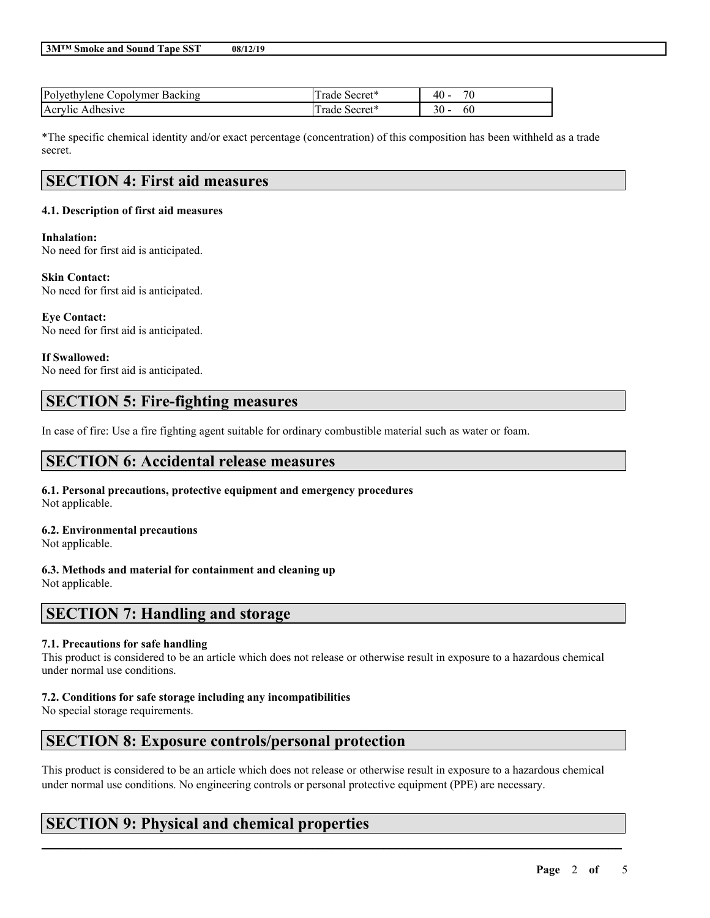| <b>3MTM Smoke and Sound Tape SST</b> | 08/12/19 |
|--------------------------------------|----------|
|--------------------------------------|----------|

| Polyethylene Copolymer Backing | Secret <sup>*</sup><br>rade | $\overline{\phantom{a}}$<br>40 |
|--------------------------------|-----------------------------|--------------------------------|
| Acrylic Adhesive               | Secret <sup>*</sup><br>rade | 30<br>6U                       |

\*The specific chemical identity and/or exact percentage (concentration) of this composition has been withheld as a trade secret.

# **SECTION 4: First aid measures**

#### **4.1. Description of first aid measures**

#### **Inhalation:**

No need for first aid is anticipated.

#### **Skin Contact:**

No need for first aid is anticipated.

**Eye Contact:** No need for first aid is anticipated.

# **If Swallowed:**

No need for first aid is anticipated.

# **SECTION 5: Fire-fighting measures**

In case of fire: Use a fire fighting agent suitable for ordinary combustible material such as water or foam.

### **SECTION 6: Accidental release measures**

#### **6.1. Personal precautions, protective equipment and emergency procedures** Not applicable.

**6.2. Environmental precautions**

Not applicable.

#### **6.3. Methods and material for containment and cleaning up**

Not applicable.

### **SECTION 7: Handling and storage**

#### **7.1. Precautions for safe handling**

This product is considered to be an article which does not release or otherwise result in exposure to a hazardous chemical under normal use conditions.

#### **7.2. Conditions for safe storage including any incompatibilities**

No special storage requirements.

# **SECTION 8: Exposure controls/personal protection**

This product is considered to be an article which does not release or otherwise result in exposure to a hazardous chemical under normal use conditions. No engineering controls or personal protective equipment (PPE) are necessary.

 $\mathcal{L}_\mathcal{L} = \mathcal{L}_\mathcal{L} = \mathcal{L}_\mathcal{L} = \mathcal{L}_\mathcal{L} = \mathcal{L}_\mathcal{L} = \mathcal{L}_\mathcal{L} = \mathcal{L}_\mathcal{L} = \mathcal{L}_\mathcal{L} = \mathcal{L}_\mathcal{L} = \mathcal{L}_\mathcal{L} = \mathcal{L}_\mathcal{L} = \mathcal{L}_\mathcal{L} = \mathcal{L}_\mathcal{L} = \mathcal{L}_\mathcal{L} = \mathcal{L}_\mathcal{L} = \mathcal{L}_\mathcal{L} = \mathcal{L}_\mathcal{L}$ 

# **SECTION 9: Physical and chemical properties**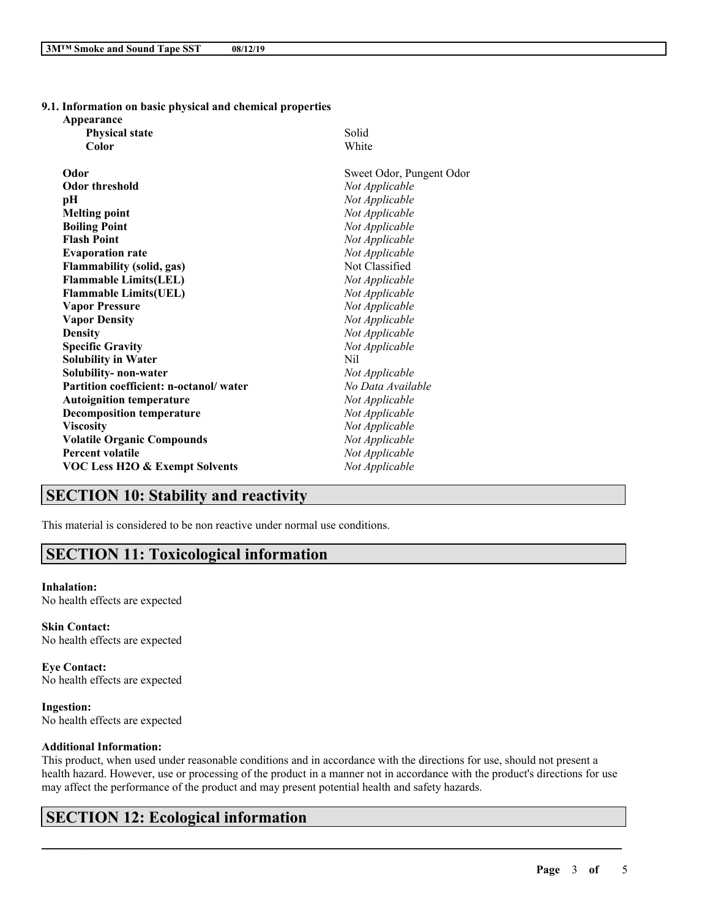**9.1. Information on basic physical and chemical properties**

**Appearance**

| <b>Physical state</b>                     | Solid                    |
|-------------------------------------------|--------------------------|
| Color                                     | White                    |
| Odor                                      | Sweet Odor, Pungent Odor |
| <b>Odor threshold</b>                     | Not Applicable           |
| рH                                        | Not Applicable           |
| <b>Melting point</b>                      | Not Applicable           |
| <b>Boiling Point</b>                      | Not Applicable           |
| <b>Flash Point</b>                        | Not Applicable           |
| <b>Evaporation rate</b>                   | Not Applicable           |
| <b>Flammability (solid, gas)</b>          | Not Classified           |
| <b>Flammable Limits(LEL)</b>              | Not Applicable           |
| <b>Flammable Limits(UEL)</b>              | Not Applicable           |
| <b>Vapor Pressure</b>                     | Not Applicable           |
| <b>Vapor Density</b>                      | Not Applicable           |
| <b>Density</b>                            | Not Applicable           |
| <b>Specific Gravity</b>                   | Not Applicable           |
| <b>Solubility in Water</b>                | Nil                      |
| Solubility- non-water                     | Not Applicable           |
| Partition coefficient: n-octanol/water    | No Data Available        |
| <b>Autoignition temperature</b>           | Not Applicable           |
| <b>Decomposition temperature</b>          | Not Applicable           |
| <b>Viscosity</b>                          | Not Applicable           |
| <b>Volatile Organic Compounds</b>         | Not Applicable           |
| <b>Percent volatile</b>                   | Not Applicable           |
| <b>VOC Less H2O &amp; Exempt Solvents</b> | Not Applicable           |

# **SECTION 10: Stability and reactivity**

This material is considered to be non reactive under normal use conditions.

### **SECTION 11: Toxicological information**

**Inhalation:** No health effects are expected

**Skin Contact:** No health effects are expected

**Eye Contact:** No health effects are expected

**Ingestion:** No health effects are expected

#### **Additional Information:**

This product, when used under reasonable conditions and in accordance with the directions for use, should not present a health hazard. However, use or processing of the product in a manner not in accordance with the product's directions for use may affect the performance of the product and may present potential health and safety hazards.

 $\mathcal{L}_\mathcal{L} = \mathcal{L}_\mathcal{L} = \mathcal{L}_\mathcal{L} = \mathcal{L}_\mathcal{L} = \mathcal{L}_\mathcal{L} = \mathcal{L}_\mathcal{L} = \mathcal{L}_\mathcal{L} = \mathcal{L}_\mathcal{L} = \mathcal{L}_\mathcal{L} = \mathcal{L}_\mathcal{L} = \mathcal{L}_\mathcal{L} = \mathcal{L}_\mathcal{L} = \mathcal{L}_\mathcal{L} = \mathcal{L}_\mathcal{L} = \mathcal{L}_\mathcal{L} = \mathcal{L}_\mathcal{L} = \mathcal{L}_\mathcal{L}$ 

# **SECTION 12: Ecological information**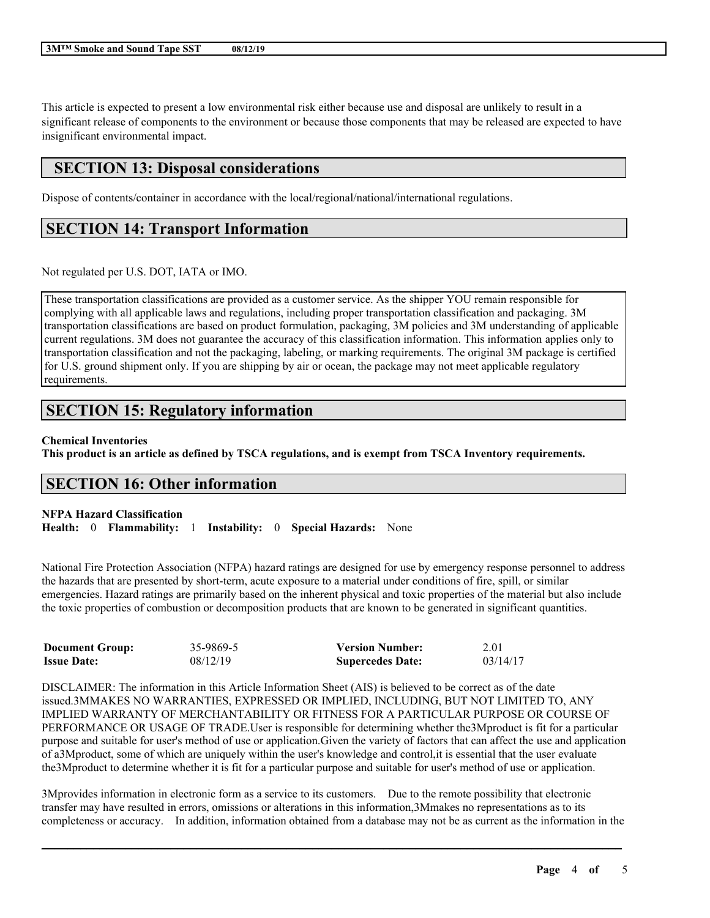This article is expected to present a low environmental risk either because use and disposal are unlikely to result in a significant release of components to the environment or because those components that may be released are expected to have insignificant environmental impact.

### **SECTION 13: Disposal considerations**

Dispose of contents/container in accordance with the local/regional/national/international regulations.

### **SECTION 14: Transport Information**

Not regulated per U.S. DOT, IATA or IMO.

These transportation classifications are provided as a customer service. As the shipper YOU remain responsible for complying with all applicable laws and regulations, including proper transportation classification and packaging. 3M transportation classifications are based on product formulation, packaging, 3M policies and 3M understanding of applicable current regulations. 3M does not guarantee the accuracy of this classification information. This information applies only to transportation classification and not the packaging, labeling, or marking requirements. The original 3M package is certified for U.S. ground shipment only. If you are shipping by air or ocean, the package may not meet applicable regulatory requirements.

# **SECTION 15: Regulatory information**

#### **Chemical Inventories**

This product is an article as defined by TSCA regulations, and is exempt from TSCA Inventory requirements.

### **SECTION 16: Other information**

**NFPA Hazard Classification Health:** 0 **Flammability:** 1 **Instability:** 0 **Special Hazards:** None

National Fire Protection Association (NFPA) hazard ratings are designed for use by emergency response personnel to address the hazards that are presented by short-term, acute exposure to a material under conditions of fire, spill, or similar emergencies. Hazard ratings are primarily based on the inherent physical and toxic properties of the material but also include the toxic properties of combustion or decomposition products that are known to be generated in significant quantities.

| <b>Document Group:</b> | 35-9869-5 | <b>Version Number:</b>  | 2.01     |
|------------------------|-----------|-------------------------|----------|
| <b>Issue Date:</b>     | 08/12/19  | <b>Supercedes Date:</b> | 03/14/17 |

DISCLAIMER: The information in this Article Information Sheet (AIS) is believed to be correct as of the date issued.3MMAKES NO WARRANTIES, EXPRESSED OR IMPLIED, INCLUDING, BUT NOT LIMITED TO, ANY IMPLIED WARRANTY OF MERCHANTABILITY OR FITNESS FOR A PARTICULAR PURPOSE OR COURSE OF PERFORMANCE OR USAGE OF TRADE.User is responsible for determining whether the3Mproduct is fit for a particular purpose and suitable for user's method of use or application.Given the variety of factors that can affect the use and application of a3Mproduct, some of which are uniquely within the user's knowledge and control,it is essential that the user evaluate the3Mproduct to determine whether it is fit for a particular purpose and suitable for user's method of use or application.

3Mprovides information in electronic form as a service to its customers. Due to the remote possibility that electronic transfer may have resulted in errors, omissions or alterations in this information,3Mmakes no representations as to its completeness or accuracy. In addition, information obtained from a database may not be as current as the information in the

 $\mathcal{L}_\mathcal{L} = \mathcal{L}_\mathcal{L} = \mathcal{L}_\mathcal{L} = \mathcal{L}_\mathcal{L} = \mathcal{L}_\mathcal{L} = \mathcal{L}_\mathcal{L} = \mathcal{L}_\mathcal{L} = \mathcal{L}_\mathcal{L} = \mathcal{L}_\mathcal{L} = \mathcal{L}_\mathcal{L} = \mathcal{L}_\mathcal{L} = \mathcal{L}_\mathcal{L} = \mathcal{L}_\mathcal{L} = \mathcal{L}_\mathcal{L} = \mathcal{L}_\mathcal{L} = \mathcal{L}_\mathcal{L} = \mathcal{L}_\mathcal{L}$